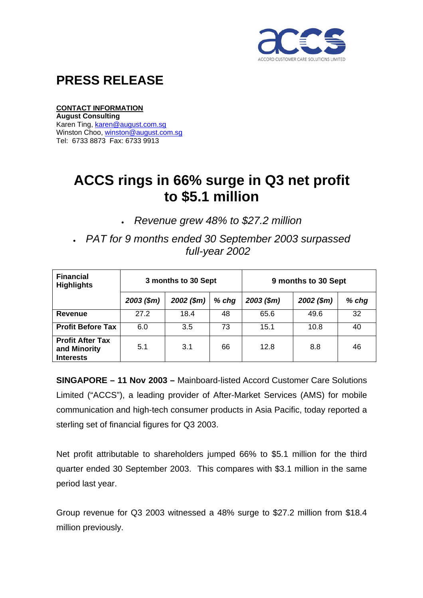

## **PRESS RELEASE**

#### **CONTACT INFORMATION**

**August Consulting**  Karen Ting, [karen@august.com.sg](mailto:karen@august.com.sg) Winston Choo, [winston@august.com.sg](mailto:winston@august.com.sg) Tel: 6733 8873 Fax: 6733 9913

# **ACCS rings in 66% surge in Q3 net profit to \$5.1 million**

• *Revenue grew 48% to \$27.2 million* 

• *PAT for 9 months ended 30 September 2003 surpassed full-year 2002* 

| <b>Financial</b><br><b>Highlights</b>                       | 3 months to 30 Sept |              |         | 9 months to 30 Sept |              |         |
|-------------------------------------------------------------|---------------------|--------------|---------|---------------------|--------------|---------|
|                                                             | $2003$ (\$m)        | $2002$ (\$m) | $%$ chg | $2003$ (\$m)        | $2002$ (\$m) | $%$ chg |
| <b>Revenue</b>                                              | 27.2                | 18.4         | 48      | 65.6                | 49.6         | 32      |
| <b>Profit Before Tax</b>                                    | 6.0                 | 3.5          | 73      | 15.1                | 10.8         | 40      |
| <b>Profit After Tax</b><br>and Minority<br><b>Interests</b> | 5.1                 | 3.1          | 66      | 12.8                | 8.8          | 46      |

**SINGAPORE – 11 Nov 2003 –** Mainboard-listed Accord Customer Care Solutions Limited ("ACCS"), a leading provider of After-Market Services (AMS) for mobile communication and high-tech consumer products in Asia Pacific, today reported a sterling set of financial figures for Q3 2003.

Net profit attributable to shareholders jumped 66% to \$5.1 million for the third quarter ended 30 September 2003. This compares with \$3.1 million in the same period last year.

Group revenue for Q3 2003 witnessed a 48% surge to \$27.2 million from \$18.4 million previously.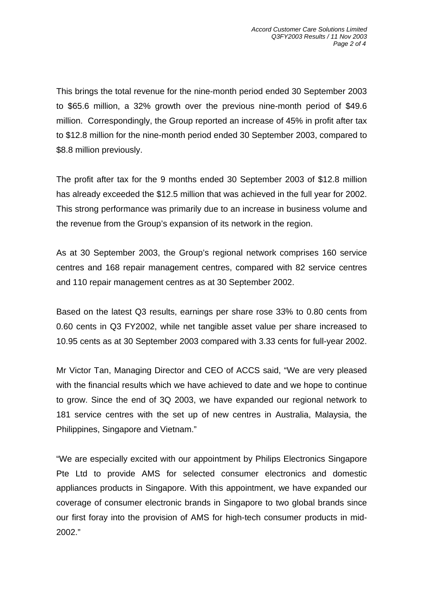This brings the total revenue for the nine-month period ended 30 September 2003 to \$65.6 million, a 32% growth over the previous nine-month period of \$49.6 million. Correspondingly, the Group reported an increase of 45% in profit after tax to \$12.8 million for the nine-month period ended 30 September 2003, compared to \$8.8 million previously.

The profit after tax for the 9 months ended 30 September 2003 of \$12.8 million has already exceeded the \$12.5 million that was achieved in the full year for 2002. This strong performance was primarily due to an increase in business volume and the revenue from the Group's expansion of its network in the region.

As at 30 September 2003, the Group's regional network comprises 160 service centres and 168 repair management centres, compared with 82 service centres and 110 repair management centres as at 30 September 2002.

Based on the latest Q3 results, earnings per share rose 33% to 0.80 cents from 0.60 cents in Q3 FY2002, while net tangible asset value per share increased to 10.95 cents as at 30 September 2003 compared with 3.33 cents for full-year 2002.

Mr Victor Tan, Managing Director and CEO of ACCS said, "We are very pleased with the financial results which we have achieved to date and we hope to continue to grow. Since the end of 3Q 2003, we have expanded our regional network to 181 service centres with the set up of new centres in Australia, Malaysia, the Philippines, Singapore and Vietnam."

"We are especially excited with our appointment by Philips Electronics Singapore Pte Ltd to provide AMS for selected consumer electronics and domestic appliances products in Singapore. With this appointment, we have expanded our coverage of consumer electronic brands in Singapore to two global brands since our first foray into the provision of AMS for high-tech consumer products in mid-2002."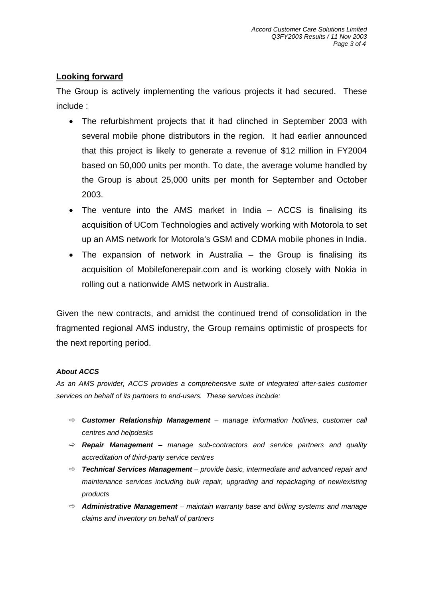### **Looking forward**

The Group is actively implementing the various projects it had secured. These include :

- The refurbishment projects that it had clinched in September 2003 with several mobile phone distributors in the region. It had earlier announced that this project is likely to generate a revenue of \$12 million in FY2004 based on 50,000 units per month. To date, the average volume handled by the Group is about 25,000 units per month for September and October 2003.
- The venture into the AMS market in India ACCS is finalising its acquisition of UCom Technologies and actively working with Motorola to set up an AMS network for Motorola's GSM and CDMA mobile phones in India.
- The expansion of network in Australia the Group is finalising its acquisition of Mobilefonerepair.com and is working closely with Nokia in rolling out a nationwide AMS network in Australia.

Given the new contracts, and amidst the continued trend of consolidation in the fragmented regional AMS industry, the Group remains optimistic of prospects for the next reporting period.

#### *About ACCS*

*As an AMS provider, ACCS provides a comprehensive suite of integrated after-sales customer services on behalf of its partners to end-users. These services include:* 

- Ö *Customer Relationship Management manage information hotlines, customer call centres and helpdesks*
- Ö *Repair Management manage sub-contractors and service partners and quality accreditation of third-party service centres*
- Ö *Technical Services Management provide basic, intermediate and advanced repair and maintenance services including bulk repair, upgrading and repackaging of new/existing products*
- Ö *Administrative Management maintain warranty base and billing systems and manage claims and inventory on behalf of partners*